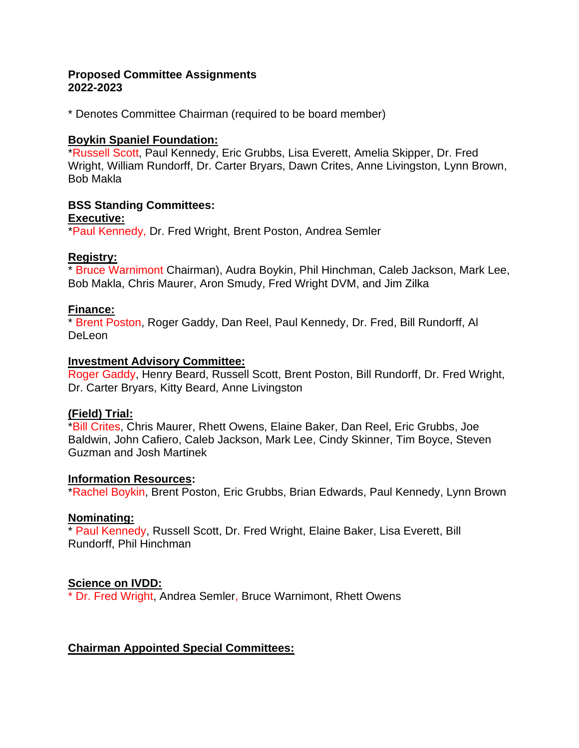#### **Proposed Committee Assignments 2022-2023**

\* Denotes Committee Chairman (required to be board member)

#### **Boykin Spaniel Foundation:**

\*Russell Scott, Paul Kennedy, Eric Grubbs, Lisa Everett, Amelia Skipper, Dr. Fred Wright, William Rundorff, Dr. Carter Bryars, Dawn Crites, Anne Livingston, Lynn Brown, Bob Makla

# **BSS Standing Committees:**

#### **Executive:**

\*Paul Kennedy, Dr. Fred Wright, Brent Poston, Andrea Semler

# **Registry:**

\* Bruce Warnimont Chairman), Audra Boykin, Phil Hinchman, Caleb Jackson, Mark Lee, Bob Makla, Chris Maurer, Aron Smudy, Fred Wright DVM, and Jim Zilka

# **Finance:**

\* Brent Poston, Roger Gaddy, Dan Reel, Paul Kennedy, Dr. Fred, Bill Rundorff, Al DeLeon

#### **Investment Advisory Committee:**

Roger Gaddy, Henry Beard, Russell Scott, Brent Poston, Bill Rundorff, Dr. Fred Wright, Dr. Carter Bryars, Kitty Beard, Anne Livingston

# **(Field) Trial:**

\*Bill Crites, Chris Maurer, Rhett Owens, Elaine Baker, Dan Reel, Eric Grubbs, Joe Baldwin, John Cafiero, Caleb Jackson, Mark Lee, Cindy Skinner, Tim Boyce, Steven Guzman and Josh Martinek

# **Information Resources:**

\*Rachel Boykin, Brent Poston, Eric Grubbs, Brian Edwards, Paul Kennedy, Lynn Brown

# **Nominating:**

\* Paul Kennedy, Russell Scott, Dr. Fred Wright, Elaine Baker, Lisa Everett, Bill Rundorff, Phil Hinchman

# **Science on IVDD:**

\* Dr. Fred Wright, Andrea Semler, Bruce Warnimont, Rhett Owens

# **Chairman Appointed Special Committees:**